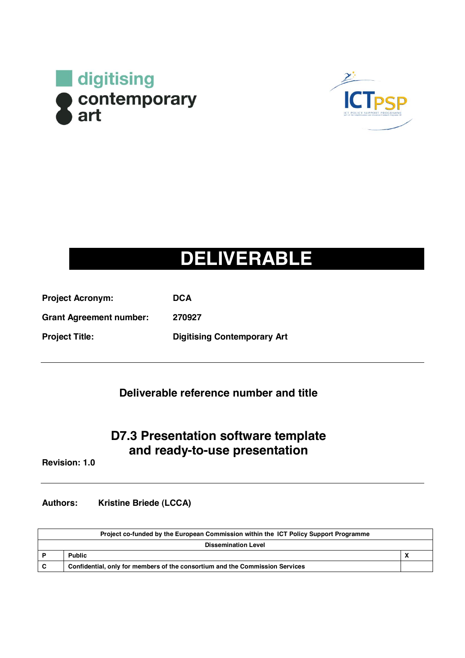



#### **DELIVERABLE**

| <b>Project Acronym:</b>        | <b>DCA</b>                         |
|--------------------------------|------------------------------------|
| <b>Grant Agreement number:</b> | 270927                             |
| <b>Project Title:</b>          | <b>Digitising Contemporary Art</b> |

#### **Deliverable reference number and title**

#### **D7.3 Presentation software template and ready-to-use presentation**

**Revision: 1.0**

**Authors: Kristine Briede (LCCA)**

| Project co-funded by the European Commission within the ICT Policy Support Programme |                                                                              |  |  |  |
|--------------------------------------------------------------------------------------|------------------------------------------------------------------------------|--|--|--|
| <b>Dissemination Level</b>                                                           |                                                                              |  |  |  |
|                                                                                      | <b>Public</b>                                                                |  |  |  |
| <b>C</b>                                                                             | Confidential, only for members of the consortium and the Commission Services |  |  |  |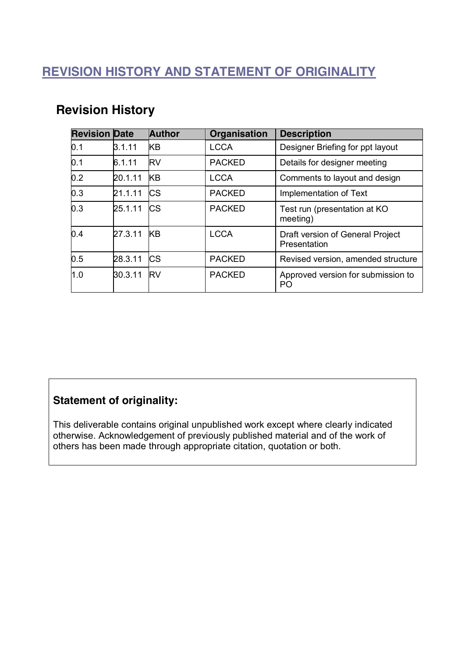#### **REVISION HISTORY AND STATEMENT OF ORIGINALITY**

| <b>Revision Date</b> |         | <b>Author</b> | Organisation  | <b>Description</b>                               |
|----------------------|---------|---------------|---------------|--------------------------------------------------|
| 0.1                  | 3.1.11  | <b>KB</b>     | <b>LCCA</b>   | Designer Briefing for ppt layout                 |
| 0.1                  | 6.1.11  | <b>RV</b>     | <b>PACKED</b> | Details for designer meeting                     |
| 0.2                  | 20.1.11 | <b>KB</b>     | <b>LCCA</b>   | Comments to layout and design                    |
| 0.3                  | 21.1.11 | <b>CS</b>     | <b>PACKED</b> | Implementation of Text                           |
| 0.3                  | 25.1.11 | <b>ICS</b>    | <b>PACKED</b> | Test run (presentation at KO<br>meeting)         |
| 0.4                  | 27.3.11 | <b>KB</b>     | <b>LCCA</b>   | Draft version of General Project<br>Presentation |
| 0.5                  | 28.3.11 | <b>ICS</b>    | <b>PACKED</b> | Revised version, amended structure               |
| 1.0                  | 30.3.11 | <b>RV</b>     | <b>PACKED</b> | Approved version for submission to<br>PO         |

#### **Revision History**

#### **Statement of originality:**

This deliverable contains original unpublished work except where clearly indicated otherwise. Acknowledgement of previously published material and of the work of others has been made through appropriate citation, quotation or both.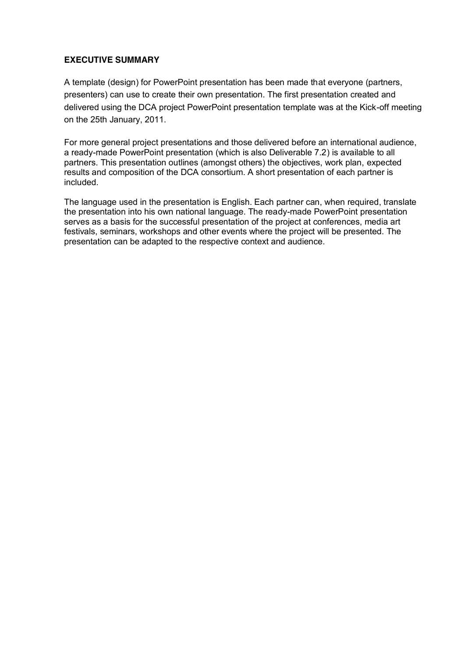#### **EXECUTIVE SUMMARY**

A template (design) for PowerPoint presentation has been made that everyone (partners, presenters) can use to create their own presentation. The first presentation created and delivered using the DCA project PowerPoint presentation template was at the Kick-off meeting on the 25th January, 2011.

For more general project presentations and those delivered before an international audience, a ready-made PowerPoint presentation (which is also Deliverable 7.2) is available to all partners. This presentation outlines (amongst others) the objectives, work plan, expected results and composition of the DCA consortium. A short presentation of each partner is included.

The language used in the presentation is English. Each partner can, when required, translate the presentation into his own national language. The ready-made PowerPoint presentation serves as a basis for the successful presentation of the project at conferences, media art festivals, seminars, workshops and other events where the project will be presented. The presentation can be adapted to the respective context and audience.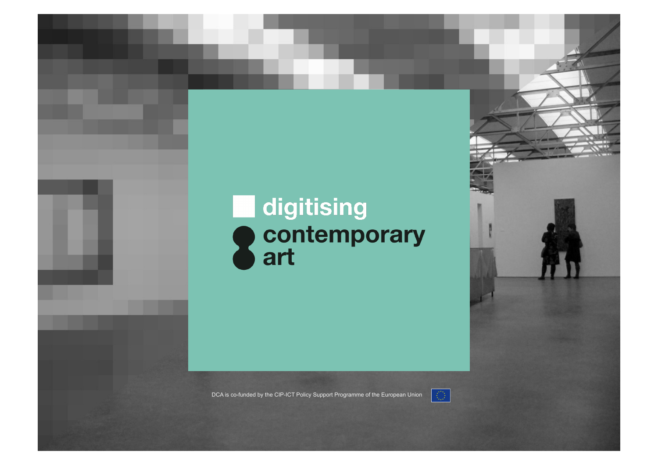# **digitising<br>
Contemporary<br>
Cart**

DCA is co-funded by the CIP-ICT Policy Support Programme of the European Union

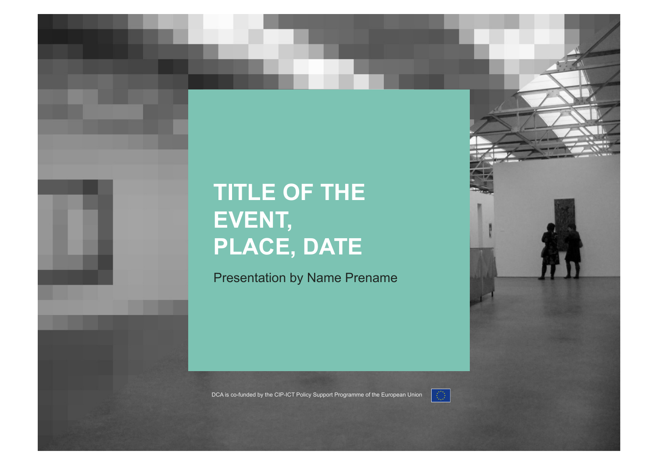#### **TITLE OF THE EVENT, PLACE, DATE**

Presentation by Name Prename



DCA is co-funded by the CIP-ICT Policy Support Programme of the European Union

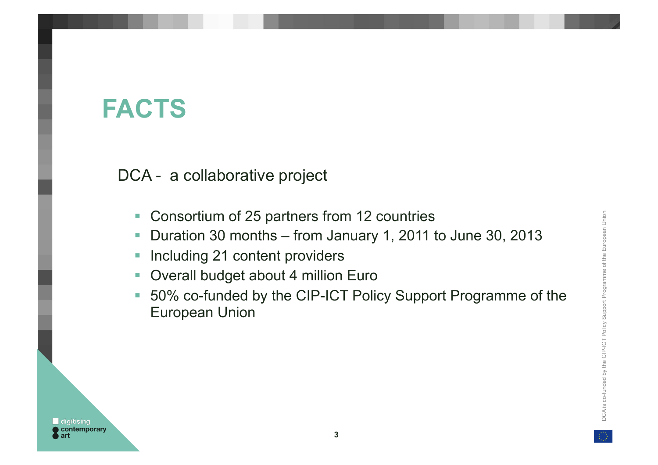# DCA is co-funded by the CIP-ICT Policy Support Programme of the European Union DCA is co-funded by the CIP-ICT Policy Support Programme of the European Union

#### **FACTS**

DCA - a collaborative project

- Consortium of 25 partners from 12 countries
- ! Duration 30 months from January 1, 2011 to June 30, 2013
- **-** Including 21 content providers
- **Overall budget about 4 million Euro**
- 50% co-funded by the CIP-ICT Policy Support Programme of the European Union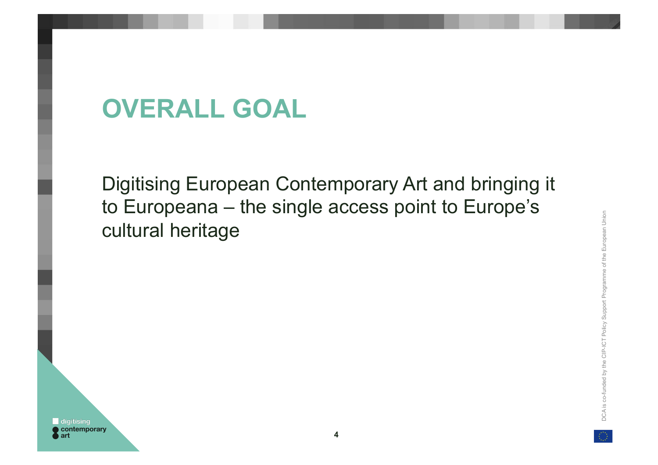# **OVERALL GOAL**

Digitising European Contemporary Art and bringing it to Europeana – the single access point to Europe's cultural heritage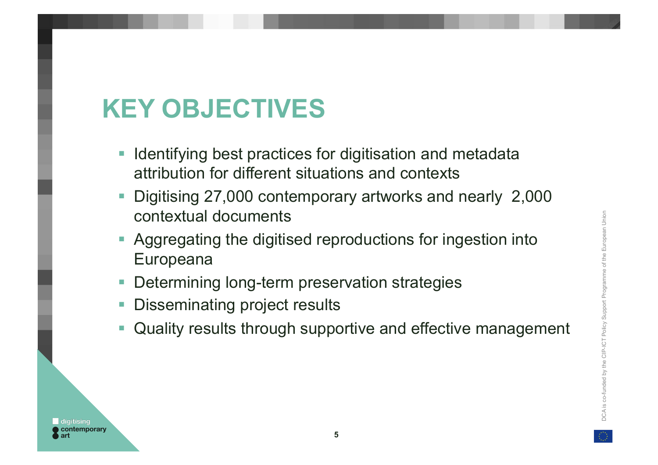# **KEY OBJECTIVES**

- **I Identifying best practices for digitisation and metadata** attribution for different situations and contexts
- ! Digitising 27,000 contemporary artworks and nearly 2,000 contextual documents
- **E** Aggregating the digitised reproductions for ingestion into Europeana
- **-** Determining long-term preservation strategies
- **Disseminating project results**
- **.** Quality results through supportive and effective management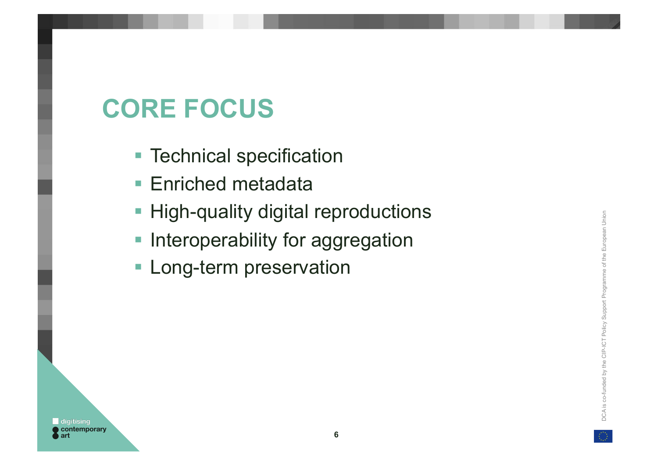# **CORE FOCUS**

- **Technical specification**
- **Enriched metadata**
- **High-quality digital reproductions**
- **Interoperability for aggregation**
- **Long-term preservation**

**6**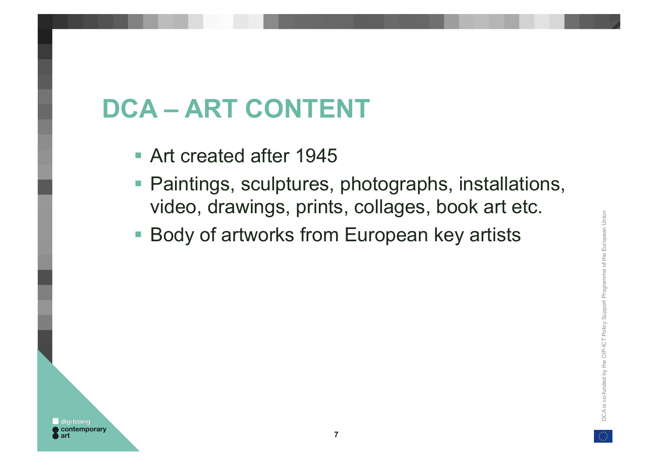# **DCA – ART CONTENT**

- Art created after 1945
- ! Paintings, sculptures, photographs, installations, video, drawings, prints, collages, book art etc.
- Body of artworks from European key artists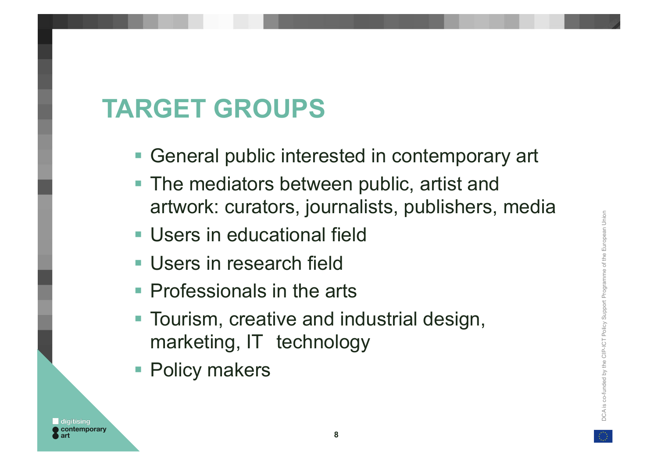#### **TARGET GROUPS**

- **Example 2 Figure 10 Figure 10 Figure 10 Figure 10 Figure 10 Figure 10 Figure 10 Figure 10 Figure 10 Figure 10 Figure 10 Figure 10 Figure 10 Figure 10 Figure 10 Figure 10 Figure 10 Figure 10 Figure 10 Figure 10 Figure 10 F**
- **The mediators between public, artist and** artwork: curators, journalists, publishers, media
- **Users in educational field**
- **Users in research field**
- **Professionals in the arts**
- Tourism, creative and industrial design, marketing, IT technology
- **Policy makers**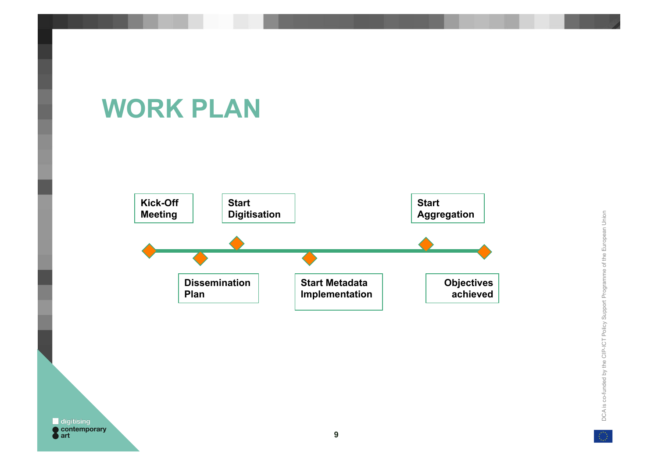# **WORK PLAN**

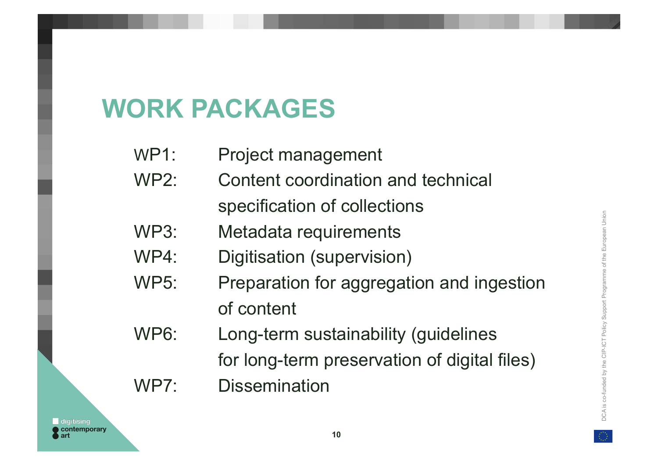#### **WORK PACKAGES**

- WP1: Project management
- WP2: Content coordination and technical specification of collections
- WP3: Metadata requirements
- WP4: Digitisation (supervision)
- WP5: Preparation for aggregation and ingestion of content
- WP6: Long-term sustainability (guidelines
	- for long-term preservation of digital files)
- WP7: Dissemination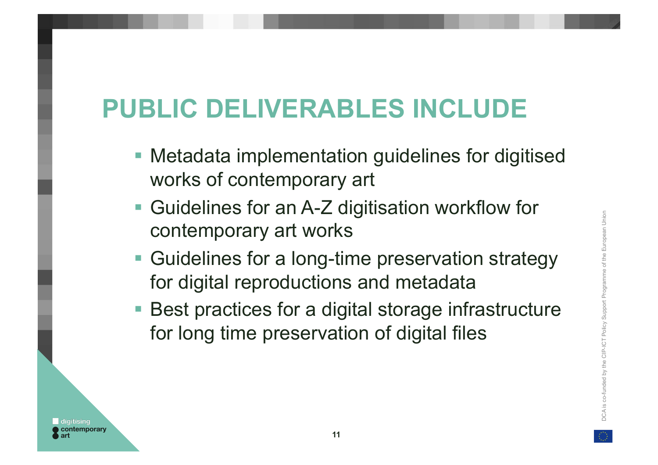# **PUBLIC DELIVERABLES INCLUDE**

- **Metadata implementation guidelines for digitised** works of contemporary art
- Guidelines for an A-Z digitisation workflow for contemporary art works
- Guidelines for a long-time preservation strategy for digital reproductions and metadata
- Best practices for a digital storage infrastructure for long time preservation of digital files

:ontemporary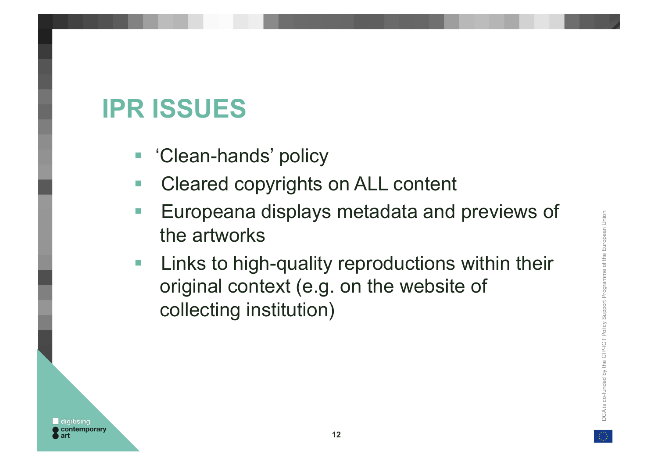# DCA is co-funded by the CIP-ICT Policy Support Programme of the European Union amme of the European Union DCA is co-funded by the CIP-ICT Policy Support Progr

### **IPR ISSUES**

- 'Clean-hands' policy
- Cleared copyrights on ALL content
- **Europeana displays metadata and previews of** the artworks
- **Example 21 Elinks to high-quality reproductions within their**  original context (e.g. on the website of collecting institution)

**12**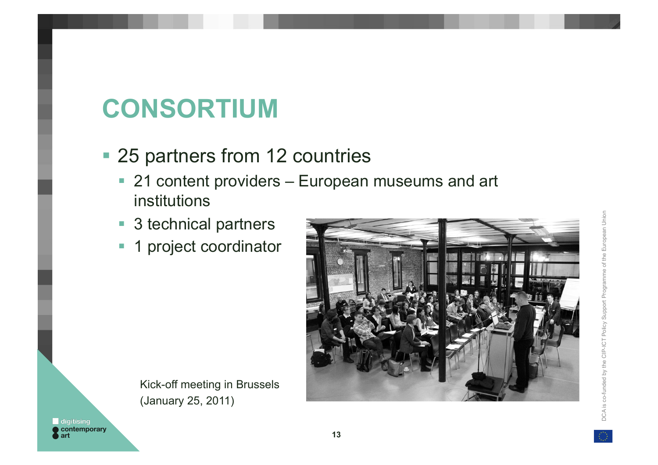# DCA is co-funded by the CIP-ICT Policy Support Programme of the European Union DCA is co-funded by the CIP-ICT Policy Support Programme of the European Union

### **CONSORTIUM**

- 25 partners from 12 countries
	- 21 content providers European museums and art institutions
	- 3 technical partners
	- **1** project coordinator



 Kick-off meeting in Brussels (January 25, 2011)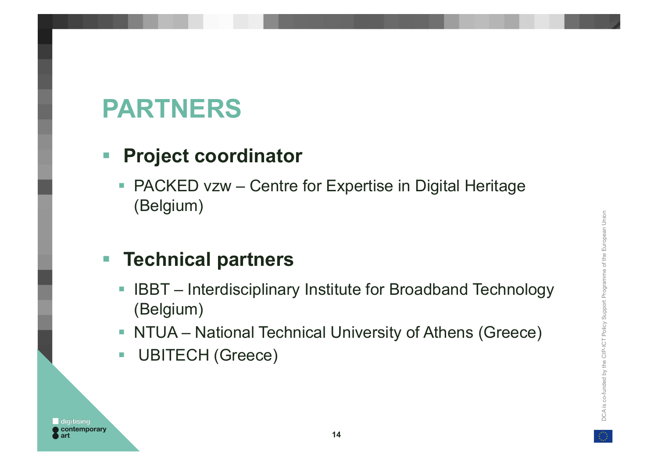# DCA is co-funded by the CIP-ICT Policy Support Programme of the European Union European Union e of the DCA is co-funded by the CIP-ICT Policy Support Progran

#### **PARTNERS**

#### ! **Project coordinator**

**• PACKED vzw – Centre for Expertise in Digital Heritage** (Belgium)

#### ! **Technical partners**

- **EXT Interdisciplinary Institute for Broadband Technology** (Belgium)
- **NTUA** National Technical University of Athens (Greece)
- **UBITECH (Greece)**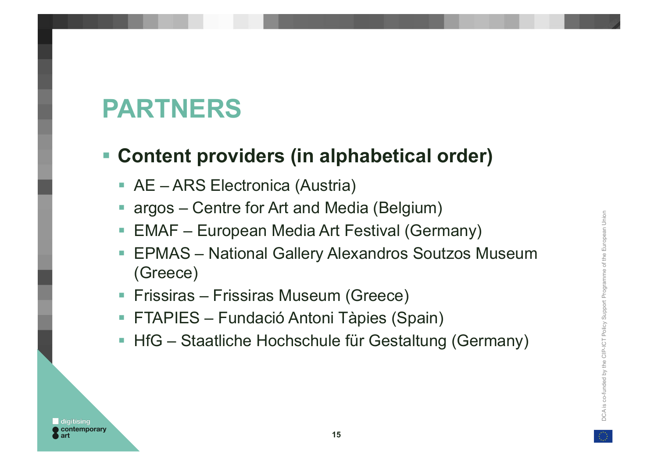# **PARTNERS**

#### ! **Content providers (in alphabetical order)**

- **AE ARS Electronica (Austria)**
- ! argos Centre for Art and Media (Belgium)
- **EMAF** European Media Art Festival (Germany)
- **EPMAS** National Gallery Alexandros Soutzos Museum (Greece)
- **Filtum** Frissiras Museum (Greece)
- **E FTAPIES Fundació Antoni Tàpies (Spain)**
- **HfG** Staatliche Hochschule für Gestaltung (Germany)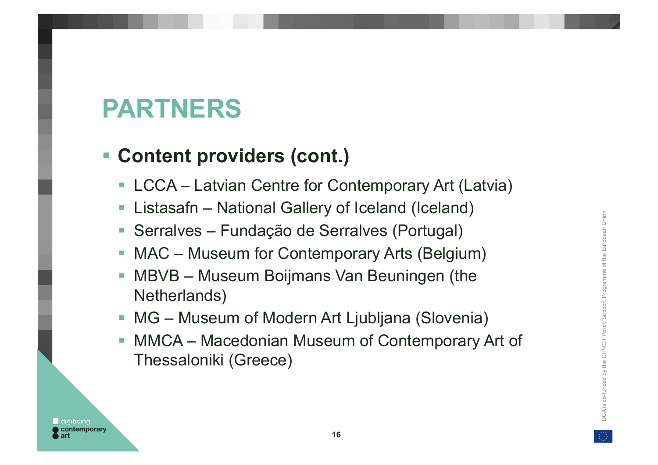# **PARTNERS**

#### ! **Content providers (cont.)**

- **E.** LCCA Latvian Centre for Contemporary Art (Latvia)
- **E.** Listasafn National Gallery of Iceland (Iceland)
- ! Serralves Fundação de Serralves (Portugal)
- **MAC** Museum for Contemporary Arts (Belgium)
- **MBVB** Museum Boijmans Van Beuningen (the Netherlands)
- **MG Museum of Modern Art Ljubljana (Slovenia)**
- **MMCA Macedonian Museum of Contemporary Art of** Thessaloniki (Greece)

uropean Union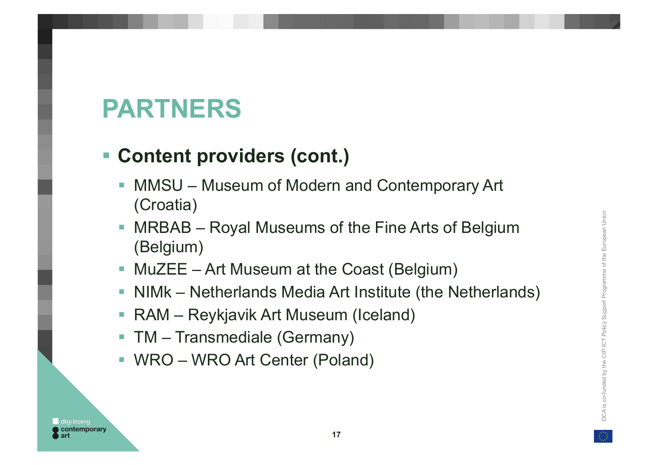# **PARTNERS**

#### ! **Content providers (cont.)**

- **MMSU Museum of Modern and Contemporary Art** (Croatia)
- **MRBAB** Royal Museums of the Fine Arts of Belgium (Belgium)
- **MuZEE** Art Museum at the Coast (Belgium)
- ! NIMk Netherlands Media Art Institute (the Netherlands)
- **RAM** Reykjavik Art Museum (Iceland)
- **TM** Transmediale (Germany)
- ! WRO WRO Art Center (Poland)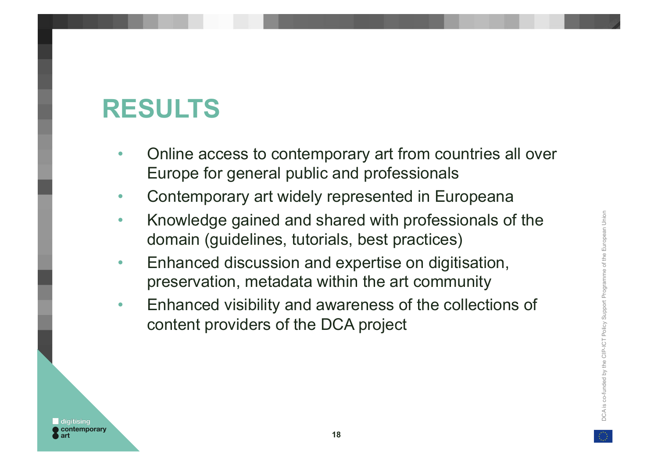# DCA is co-funded by the CIP-ICT Policy Support Programme of the European Union European Union DCA is co-funded by the CIP-ICT Policy Support Programme of the

### **RESULTS**

- Online access to contemporary art from countries all over Europe for general public and professionals
- Contemporary art widely represented in Europeana
- Knowledge gained and shared with professionals of the domain (guidelines, tutorials, best practices)
- Enhanced discussion and expertise on digitisation, preservation, metadata within the art community
- Enhanced visibility and awareness of the collections of content providers of the DCA project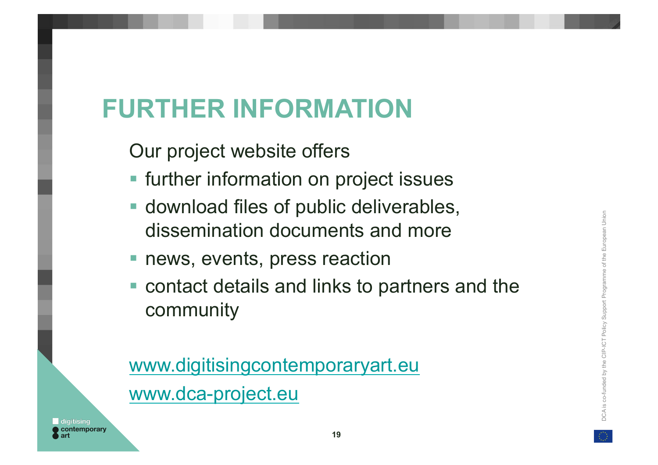# **FURTHER INFORMATION**

Our project website offers

- **Example 1** further information on project issues
- **Exercise 1 download files of public deliverables,** dissemination documents and more
- **Permite reaction Property** press reaction
- ! contact details and links to partners and the community

www.digitisingcontemporaryart.eu www.dca-project.eu